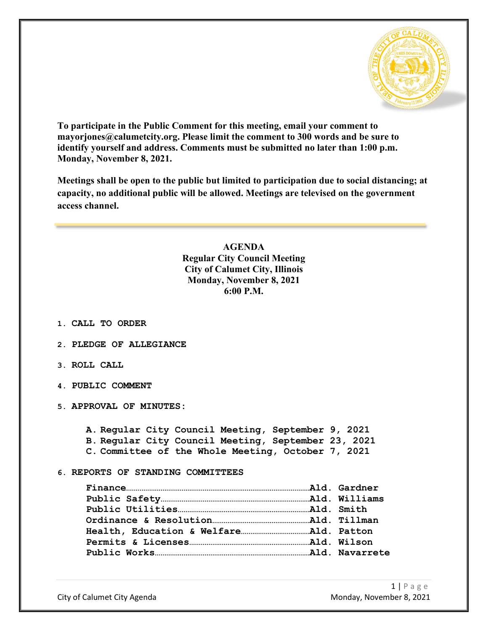

**To participate in the Public Comment for this meeting, email your comment to mayorjones@calumetcity.org. Please limit the comment to 300 words and be sure to identify yourself and address. Comments must be submitted no later than 1:00 p.m. Monday, November 8, 2021.**

**Meetings shall be open to the public but limited to participation due to social distancing; at capacity, no additional public will be allowed. Meetings are televised on the government access channel.**

> **AGENDA Regular City Council Meeting City of Calumet City, Illinois Monday, November 8, 2021 6:00 P.M.**

- **1. CALL TO ORDER**
- **2. PLEDGE OF ALLEGIANCE**
- **3. ROLL CALL**
- **4. PUBLIC COMMENT**
- **5. APPROVAL OF MINUTES:**

**A. Regular City Council Meeting, September 9, 2021 B. Regular City Council Meeting, September 23, 2021 C. Committee of the Whole Meeting, October 7, 2021**

**6. REPORTS OF STANDING COMMITTEES**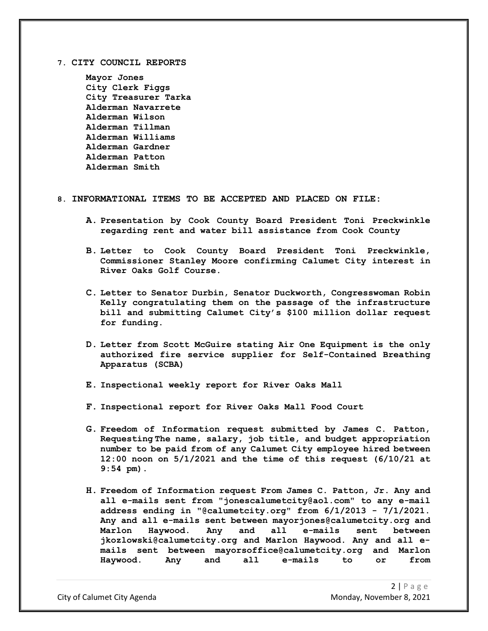**7. CITY COUNCIL REPORTS**

**Mayor Jones City Clerk Figgs City Treasurer Tarka Alderman Navarrete Alderman Wilson Alderman Tillman Alderman Williams Alderman Gardner Alderman Patton Alderman Smith**

## **8. INFORMATIONAL ITEMS TO BE ACCEPTED AND PLACED ON FILE:**

- **A. Presentation by Cook County Board President Toni Preckwinkle regarding rent and water bill assistance from Cook County**
- **B. Letter to Cook County Board President Toni Preckwinkle, Commissioner Stanley Moore confirming Calumet City interest in River Oaks Golf Course.**
- **C. Letter to Senator Durbin, Senator Duckworth, Congresswoman Robin Kelly congratulating them on the passage of the infrastructure bill and submitting Calumet City's \$100 million dollar request for funding.**
- **D. Letter from Scott McGuire stating Air One Equipment is the only authorized fire service supplier for Self-Contained Breathing Apparatus (SCBA)**
- **E. Inspectional weekly report for River Oaks Mall**
- **F. Inspectional report for River Oaks Mall Food Court**
- **G. Freedom of Information request submitted by James C. Patton, Requesting The name, salary, job title, and budget appropriation number to be paid from of any Calumet City employee hired between 12:00 noon on 5/1/2021 and the time of this request (6/10/21 at 9:54 pm).**
- **H. Freedom of Information request From James C. Patton, Jr. Any and all e-mails sent from "jonescalumetcity@aol.com" to any e-mail address ending in "@calumetcity.org" from 6/1/2013 - 7/1/2021. Any and all e-mails sent between mayorjones@calumetcity.org and Marlon Haywood. Any and all e-mails sent between jkozlowski@calumetcity.org and Marlon Haywood. Any and all emails sent between mayorsoffice@calumetcity.org and Marlon Haywood. Any and all e-mails to or from**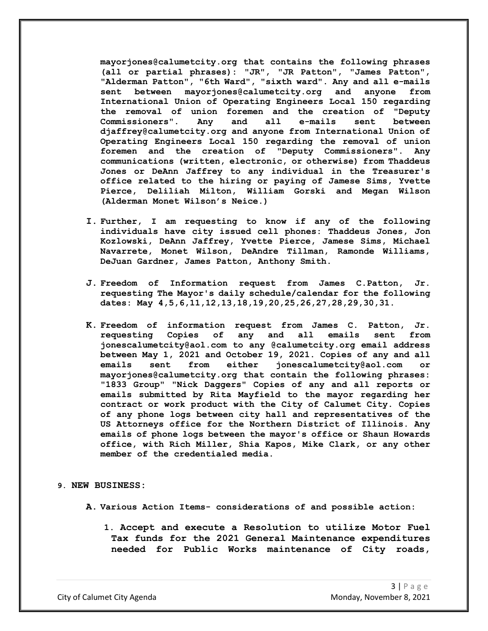**mayorjones@calumetcity.org that contains the following phrases (all or partial phrases): "JR", "JR Patton", "James Patton", "Alderman Patton", "6th Ward", "sixth ward". Any and all e-mails sent between mayorjones@calumetcity.org and anyone from International Union of Operating Engineers Local 150 regarding the removal of union foremen and the creation of "Deputy Commissioners". Any and all e-mails sent between djaffrey@calumetcity.org and anyone from International Union of Operating Engineers Local 150 regarding the removal of union foremen and the creation of "Deputy Commissioners". Any communications (written, electronic, or otherwise) from Thaddeus Jones or DeAnn Jaffrey to any individual in the Treasurer's office related to the hiring or paying of Jamese Sims, Yvette Pierce, Deliliah Milton, William Gorski and Megan Wilson (Alderman Monet Wilson's Neice.)**

- **I. Further, I am requesting to know if any of the following individuals have city issued cell phones: Thaddeus Jones, Jon Kozlowski, DeAnn Jaffrey, Yvette Pierce, Jamese Sims, Michael Navarrete, Monet Wilson, DeAndre Tillman, Ramonde Williams, DeJuan Gardner, James Patton, Anthony Smith.**
- **J. Freedom of Information request from James C.Patton, Jr. requesting The Mayor's daily schedule/calendar for the following dates: May 4,5,6,11,12,13,18,19,20,25,26,27,28,29,30,31.**
- **K. Freedom of information request from James C. Patton, Jr.**  any and all emails sent from **jonescalumetcity@aol.com to any @calumetcity.org email address between May 1, 2021 and October 19, 2021. Copies of any and all emails sent from either jonescalumetcity@aol.com or mayorjones@calumetcity.org that contain the following phrases: "1833 Group" "Nick Daggers" Copies of any and all reports or emails submitted by Rita Mayfield to the mayor regarding her contract or work product with the City of Calumet City. Copies of any phone logs between city hall and representatives of the US Attorneys office for the Northern District of Illinois. Any emails of phone logs between the mayor's office or Shaun Howards office, with Rich Miller, Shia Kapos, Mike Clark, or any other member of the credentialed media.**

## **9. NEW BUSINESS:**

- **A. Various Action Items- considerations of and possible action:**
	- **1. Accept and execute a Resolution to utilize Motor Fuel Tax funds for the 2021 General Maintenance expenditures needed for Public Works maintenance of City roads,**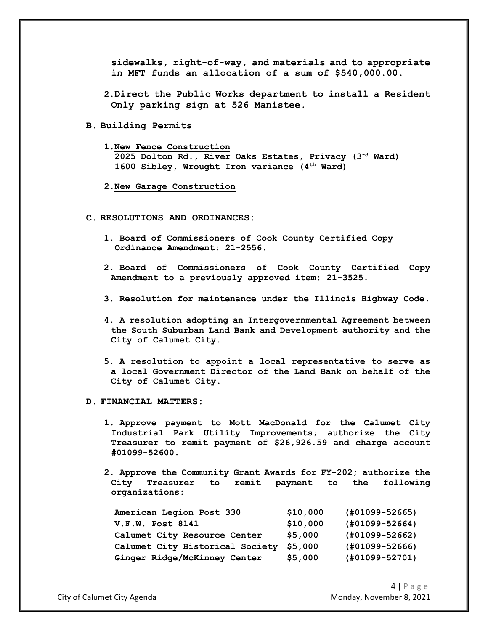**sidewalks, right-of-way, and materials and to appropriate in MFT funds an allocation of a sum of \$540,000.00.**

- **2.Direct the Public Works department to install a Resident Only parking sign at 526 Manistee.**
- **B. Building Permits**
	- **1.New Fence Construction 2025 Dolton Rd., River Oaks Estates, Privacy (3rd Ward) 1600 Sibley, Wrought Iron variance (4th Ward)**
	- **2.New Garage Construction**
- **C. RESOLUTIONS AND ORDINANCES:**
	- **1. Board of Commissioners of Cook County Certified Copy Ordinance Amendment: 21-2556.**
	- **2. Board of Commissioners of Cook County Certified Copy Amendment to a previously approved item: 21-3525.**
	- **3. Resolution for maintenance under the Illinois Highway Code.**
	- **4. A resolution adopting an Intergovernmental Agreement between the South Suburban Land Bank and Development authority and the City of Calumet City.**
	- **5. A resolution to appoint a local representative to serve as a local Government Director of the Land Bank on behalf of the City of Calumet City.**
- **D. FINANCIAL MATTERS:**
	- **1. Approve payment to Mott MacDonald for the Calumet City Industrial Park Utility Improvements; authorize the City Treasurer to remit payment of \$26,926.59 and charge account #01099-52600.**
	- **2. Approve the Community Grant Awards for FY-202; authorize the City Treasurer to remit payment to the following organizations:**

| American Legion Post 330        | \$10,000 | $(H01099 - 52665)$ |
|---------------------------------|----------|--------------------|
| V.F.W. Post 8141                | \$10,000 | $(H01099 - 52664)$ |
| Calumet City Resource Center    | \$5,000  | $(#01099 - 52662)$ |
| Calumet City Historical Society | \$5.000  | $(401099 - 52666)$ |
| Ginger Ridge/McKinney Center    | \$5,000  | (#01099-52701)     |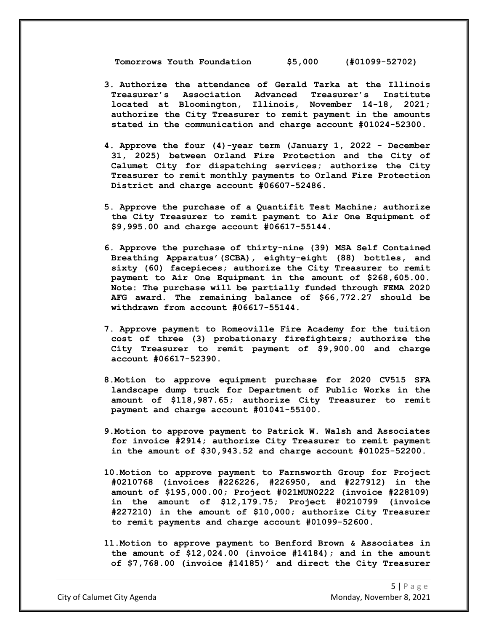**Tomorrows Youth Foundation \$5,000 (#01099-52702)**

- **3. Authorize the attendance of Gerald Tarka at the Illinois Treasurer's Association Advanced Treasurer's Institute located at Bloomington, Illinois, November 14-18, 2021; authorize the City Treasurer to remit payment in the amounts stated in the communication and charge account #01024-52300.**
- **4. Approve the four (4)-year term (January 1, 2022 - December 31, 2025) between Orland Fire Protection and the City of Calumet City for dispatching services; authorize the City Treasurer to remit monthly payments to Orland Fire Protection District and charge account #06607-52486.**
- **5. Approve the purchase of a Quantifit Test Machine; authorize the City Treasurer to remit payment to Air One Equipment of \$9,995.00 and charge account #06617-55144.**
- **6. Approve the purchase of thirty-nine (39) MSA Self Contained Breathing Apparatus'(SCBA), eighty-eight (88) bottles, and sixty (60) facepieces; authorize the City Treasurer to remit payment to Air One Equipment in the amount of \$268,605.00. Note: The purchase will be partially funded through FEMA 2020 AFG award. The remaining balance of \$66,772.27 should be withdrawn from account #06617-55144.**
- **7. Approve payment to Romeoville Fire Academy for the tuition cost of three (3) probationary firefighters; authorize the City Treasurer to remit payment of \$9,900.00 and charge account #06617-52390.**
- **8.Motion to approve equipment purchase for 2020 CV515 SFA landscape dump truck for Department of Public Works in the amount of \$118,987.65; authorize City Treasurer to remit payment and charge account #01041-55100.**
- **9.Motion to approve payment to Patrick W. Walsh and Associates for invoice #2914; authorize City Treasurer to remit payment in the amount of \$30,943.52 and charge account #01025-52200.**
- **10.Motion to approve payment to Farnsworth Group for Project #0210768 (invoices #226226, #226950, and #227912) in the amount of \$195,000.00; Project #021MUN0222 (invoice #228109) in the amount of \$12,179.75; Project #0210799 (invoice #227210) in the amount of \$10,000; authorize City Treasurer to remit payments and charge account #01099-52600.**
- **11.Motion to approve payment to Benford Brown & Associates in the amount of \$12,024.00 (invoice #14184); and in the amount of \$7,768.00 (invoice #14185)' and direct the City Treasurer**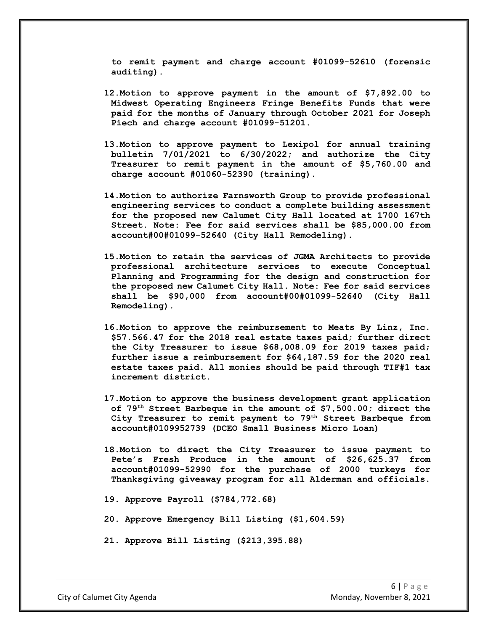**to remit payment and charge account #01099-52610 (forensic auditing).** 

- **12.Motion to approve payment in the amount of \$7,892.00 to Midwest Operating Engineers Fringe Benefits Funds that were paid for the months of January through October 2021 for Joseph Piech and charge account #01099-51201.**
- **13.Motion to approve payment to Lexipol for annual training bulletin 7/01/2021 to 6/30/2022; and authorize the City Treasurer to remit payment in the amount of \$5,760.00 and charge account #01060-52390 (training).**
- **14.Motion to authorize Farnsworth Group to provide professional engineering services to conduct a complete building assessment for the proposed new Calumet City Hall located at 1700 167th Street. Note: Fee for said services shall be \$85,000.00 from account#00#01099-52640 (City Hall Remodeling).**
- **15.Motion to retain the services of JGMA Architects to provide professional architecture services to execute Conceptual Planning and Programming for the design and construction for the proposed new Calumet City Hall. Note: Fee for said services shall be \$90,000 from account#00#01099-52640 (City Hall Remodeling).**
- **16.Motion to approve the reimbursement to Meats By Linz, Inc. \$57.566.47 for the 2018 real estate taxes paid; further direct the City Treasurer to issue \$68,008.09 for 2019 taxes paid; further issue a reimbursement for \$64,187.59 for the 2020 real estate taxes paid. All monies should be paid through TIF#1 tax increment district.**
- **17.Motion to approve the business development grant application of 79th Street Barbeque in the amount of \$7,500.00; direct the City Treasurer to remit payment to 79th Street Barbeque from account#0109952739 (DCEO Small Business Micro Loan)**
- **18.Motion to direct the City Treasurer to issue payment to Pete's Fresh Produce in the amount of \$26,625.37 from account#01099-52990 for the purchase of 2000 turkeys for Thanksgiving giveaway program for all Alderman and officials.**
- **19. Approve Payroll (\$784,772.68)**
- **20. Approve Emergency Bill Listing (\$1,604.59)**
- **21. Approve Bill Listing (\$213,395.88)**